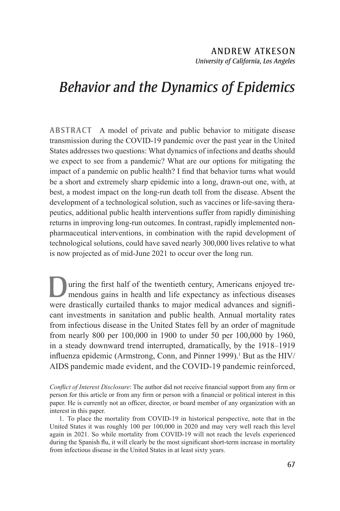# *Behavior and the Dynamics of Epidemics*

**ABSTRACT** A model of private and public behavior to mitigate disease transmission during the COVID-19 pandemic over the past year in the United States addresses two questions: What dynamics of infections and deaths should we expect to see from a pandemic? What are our options for mitigating the impact of a pandemic on public health? I find that behavior turns what would be a short and extremely sharp epidemic into a long, drawn-out one, with, at best, a modest impact on the long-run death toll from the disease. Absent the development of a technological solution, such as vaccines or life-saving therapeutics, additional public health interventions suffer from rapidly diminishing returns in improving long-run outcomes. In contrast, rapidly implemented nonpharmaceutical interventions, in combination with the rapid development of technological solutions, could have saved nearly 300,000 lives relative to what is now projected as of mid-June 2021 to occur over the long run.

uring the first half of the twentieth century, Americans enjoyed tremendous gains in health and life expectancy as infectious diseases were drastically curtailed thanks to major medical advances and significant investments in sanitation and public health. Annual mortality rates from infectious disease in the United States fell by an order of magnitude from nearly 800 per 100,000 in 1900 to under 50 per 100,000 by 1960, in a steady downward trend interrupted, dramatically, by the 1918–1919 influenza epidemic (Armstrong, Conn, and Pinner 1999).<sup>1</sup> But as the HIV/ AIDS pandemic made evident, and the COVID-19 pandemic reinforced,

*Conflict of Interest Disclosure*: The author did not receive financial support from any firm or person for this article or from any firm or person with a financial or political interest in this paper. He is currently not an officer, director, or board member of any organization with an interest in this paper.

1. To place the mortality from COVID-19 in historical perspective, note that in the United States it was roughly 100 per 100,000 in 2020 and may very well reach this level again in 2021. So while mortality from COVID-19 will not reach the levels experienced during the Spanish flu, it will clearly be the most significant short-term increase in mortality from infectious disease in the United States in at least sixty years.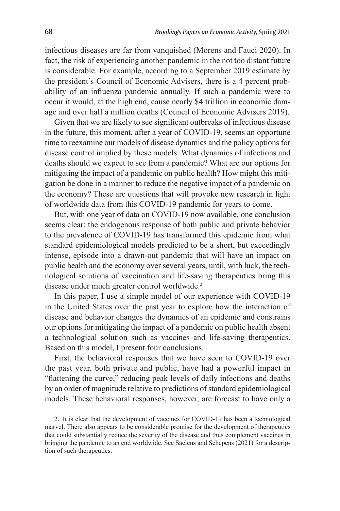infectious diseases are far from vanquished (Morens and Fauci 2020). In fact, the risk of experiencing another pandemic in the not too distant future is considerable. For example, according to a September 2019 estimate by the president's Council of Economic Advisers, there is a 4 percent probability of an influenza pandemic annually. If such a pandemic were to occur it would, at the high end, cause nearly \$4 trillion in economic damage and over half a million deaths (Council of Economic Advisers 2019).

Given that we are likely to see significant outbreaks of infectious disease in the future, this moment, after a year of COVID-19, seems an opportune time to reexamine our models of disease dynamics and the policy options for disease control implied by these models. What dynamics of infections and deaths should we expect to see from a pandemic? What are our options for mitigating the impact of a pandemic on public health? How might this mitigation be done in a manner to reduce the negative impact of a pandemic on the economy? These are questions that will provoke new research in light of worldwide data from this COVID-19 pandemic for years to come.

But, with one year of data on COVID-19 now available, one conclusion seems clear: the endogenous response of both public and private behavior to the prevalence of COVID-19 has transformed this epidemic from what standard epidemiological models predicted to be a short, but exceedingly intense, episode into a drawn-out pandemic that will have an impact on public health and the economy over several years, until, with luck, the technological solutions of vaccination and life-saving therapeutics bring this disease under much greater control worldwide.<sup>2</sup>

In this paper, I use a simple model of our experience with COVID-19 in the United States over the past year to explore how the interaction of disease and behavior changes the dynamics of an epidemic and constrains our options for mitigating the impact of a pandemic on public health absent a technological solution such as vaccines and life-saving therapeutics. Based on this model, I present four conclusions.

First, the behavioral responses that we have seen to COVID-19 over the past year, both private and public, have had a powerful impact in "flattening the curve," reducing peak levels of daily infections and deaths by an order of magnitude relative to predictions of standard epidemiological models. These behavioral responses, however, are forecast to have only a

2. It is clear that the development of vaccines for COVID-19 has been a technological marvel. There also appears to be considerable promise for the development of therapeutics that could substantially reduce the severity of the disease and thus complement vaccines in bringing the pandemic to an end worldwide. See Saelens and Schepens (2021) for a description of such therapeutics.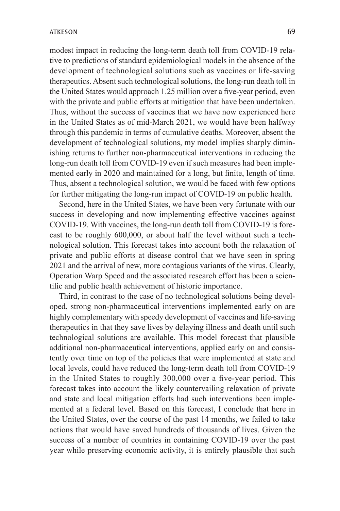modest impact in reducing the long-term death toll from COVID-19 relative to predictions of standard epidemiological models in the absence of the development of technological solutions such as vaccines or life-saving therapeutics. Absent such technological solutions, the long-run death toll in the United States would approach 1.25 million over a five-year period, even with the private and public efforts at mitigation that have been undertaken. Thus, without the success of vaccines that we have now experienced here in the United States as of mid-March 2021, we would have been halfway through this pandemic in terms of cumulative deaths. Moreover, absent the development of technological solutions, my model implies sharply diminishing returns to further non-pharmaceutical interventions in reducing the long-run death toll from COVID-19 even if such measures had been implemented early in 2020 and maintained for a long, but finite, length of time. Thus, absent a technological solution, we would be faced with few options for further mitigating the long-run impact of COVID-19 on public health.

Second, here in the United States, we have been very fortunate with our success in developing and now implementing effective vaccines against COVID-19. With vaccines, the long-run death toll from COVID-19 is forecast to be roughly 600,000, or about half the level without such a technological solution. This forecast takes into account both the relaxation of private and public efforts at disease control that we have seen in spring 2021 and the arrival of new, more contagious variants of the virus. Clearly, Operation Warp Speed and the associated research effort has been a scientific and public health achievement of historic importance.

Third, in contrast to the case of no technological solutions being developed, strong non-pharmaceutical interventions implemented early on are highly complementary with speedy development of vaccines and life-saving therapeutics in that they save lives by delaying illness and death until such technological solutions are available. This model forecast that plausible additional non-pharmaceutical interventions, applied early on and consistently over time on top of the policies that were implemented at state and local levels, could have reduced the long-term death toll from COVID-19 in the United States to roughly 300,000 over a five-year period. This forecast takes into account the likely countervailing relaxation of private and state and local mitigation efforts had such interventions been implemented at a federal level. Based on this forecast, I conclude that here in the United States, over the course of the past 14 months, we failed to take actions that would have saved hundreds of thousands of lives. Given the success of a number of countries in containing COVID-19 over the past year while preserving economic activity, it is entirely plausible that such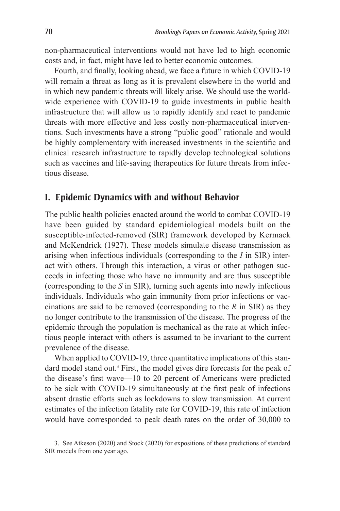non-pharmaceutical interventions would not have led to high economic costs and, in fact, might have led to better economic outcomes.

Fourth, and finally, looking ahead, we face a future in which COVID-19 will remain a threat as long as it is prevalent elsewhere in the world and in which new pandemic threats will likely arise. We should use the worldwide experience with COVID-19 to guide investments in public health infrastructure that will allow us to rapidly identify and react to pandemic threats with more effective and less costly non-pharmaceutical interventions. Such investments have a strong "public good" rationale and would be highly complementary with increased investments in the scientific and clinical research infrastructure to rapidly develop technological solutions such as vaccines and life-saving therapeutics for future threats from infectious disease.

## **I. Epidemic Dynamics with and without Behavior**

The public health policies enacted around the world to combat COVID-19 have been guided by standard epidemiological models built on the susceptible-infected-removed (SIR) framework developed by Kermack and McKendrick (1927). These models simulate disease transmission as arising when infectious individuals (corresponding to the *I* in SIR) interact with others. Through this interaction, a virus or other pathogen succeeds in infecting those who have no immunity and are thus susceptible (corresponding to the *S* in SIR), turning such agents into newly infectious individuals. Individuals who gain immunity from prior infections or vaccinations are said to be removed (corresponding to the *R* in SIR) as they no longer contribute to the transmission of the disease. The progress of the epidemic through the population is mechanical as the rate at which infectious people interact with others is assumed to be invariant to the current prevalence of the disease.

When applied to COVID-19, three quantitative implications of this standard model stand out.<sup>3</sup> First, the model gives dire forecasts for the peak of the disease's first wave—10 to 20 percent of Americans were predicted to be sick with COVID-19 simultaneously at the first peak of infections absent drastic efforts such as lockdowns to slow transmission. At current estimates of the infection fatality rate for COVID-19, this rate of infection would have corresponded to peak death rates on the order of 30,000 to

3. See Atkeson (2020) and Stock (2020) for expositions of these predictions of standard SIR models from one year ago.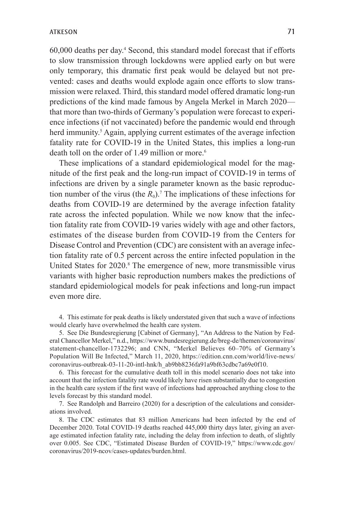60,000 deaths per day.4 Second, this standard model forecast that if efforts to slow transmission through lockdowns were applied early on but were only temporary, this dramatic first peak would be delayed but not prevented: cases and deaths would explode again once efforts to slow transmission were relaxed. Third, this standard model offered dramatic long-run predictions of the kind made famous by Angela Merkel in March 2020 that more than two-thirds of Germany's population were forecast to experience infections (if not vaccinated) before the pandemic would end through herd immunity.<sup>5</sup> Again, applying current estimates of the average infection fatality rate for COVID-19 in the United States, this implies a long-run death toll on the order of 1.49 million or more.<sup>6</sup>

These implications of a standard epidemiological model for the magnitude of the first peak and the long-run impact of COVID-19 in terms of infections are driven by a single parameter known as the basic reproduction number of the virus (the  $R_0$ ).<sup>7</sup> The implications of these infections for deaths from COVID-19 are determined by the average infection fatality rate across the infected population. While we now know that the infection fatality rate from COVID-19 varies widely with age and other factors, estimates of the disease burden from COVID-19 from the Centers for Disease Control and Prevention (CDC) are consistent with an average infection fatality rate of 0.5 percent across the entire infected population in the United States for 2020.<sup>8</sup> The emergence of new, more transmissible virus variants with higher basic reproduction numbers makes the predictions of standard epidemiological models for peak infections and long-run impact even more dire.

4. This estimate for peak deaths is likely understated given that such a wave of infections would clearly have overwhelmed the health care system.

5. See Die Bundesregierung [Cabinet of Germany], "An Address to the Nation by Federal Chancellor Merkel," n.d., https://www.bundesregierung.de/breg-de/themen/coronavirus/ statement-chancellor-1732296; and CNN, "Merkel Believes 60–70% of Germany's Population Will Be Infected," March 11, 2020, https://edition.cnn.com/world/live-news/ coronavirus-outbreak-03-11-20-intl-hnk/h\_ab9bb8236fa91a9bf63cdbc7a69e0f10.

6. This forecast for the cumulative death toll in this model scenario does not take into account that the infection fatality rate would likely have risen substantially due to congestion in the health care system if the first wave of infections had approached anything close to the levels forecast by this standard model.

7. See Randolph and Barreiro (2020) for a description of the calculations and considerations involved.

8. The CDC estimates that 83 million Americans had been infected by the end of December 2020. Total COVID-19 deaths reached 445,000 thirty days later, giving an average estimated infection fatality rate, including the delay from infection to death, of slightly over 0.005. See CDC, "Estimated Disease Burden of COVID-19," https://www.cdc.gov/ coronavirus/2019-ncov/cases-updates/burden.html.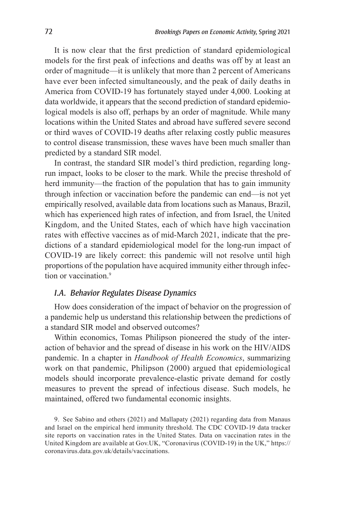It is now clear that the first prediction of standard epidemiological models for the first peak of infections and deaths was off by at least an order of magnitude—it is unlikely that more than 2 percent of Americans have ever been infected simultaneously, and the peak of daily deaths in America from COVID-19 has fortunately stayed under 4,000. Looking at data worldwide, it appears that the second prediction of standard epidemiological models is also off, perhaps by an order of magnitude. While many locations within the United States and abroad have suffered severe second or third waves of COVID-19 deaths after relaxing costly public measures to control disease transmission, these waves have been much smaller than predicted by a standard SIR model.

In contrast, the standard SIR model's third prediction, regarding longrun impact, looks to be closer to the mark. While the precise threshold of herd immunity—the fraction of the population that has to gain immunity through infection or vaccination before the pandemic can end—is not yet empirically resolved, available data from locations such as Manaus, Brazil, which has experienced high rates of infection, and from Israel, the United Kingdom, and the United States, each of which have high vaccination rates with effective vaccines as of mid-March 2021, indicate that the predictions of a standard epidemiological model for the long-run impact of COVID-19 are likely correct: this pandemic will not resolve until high proportions of the population have acquired immunity either through infection or vaccination.<sup>9</sup>

#### *I.A. Behavior Regulates Disease Dynamics*

How does consideration of the impact of behavior on the progression of a pandemic help us understand this relationship between the predictions of a standard SIR model and observed outcomes?

Within economics, Tomas Philipson pioneered the study of the interaction of behavior and the spread of disease in his work on the HIV/AIDS pandemic. In a chapter in *Handbook of Health Economics*, summarizing work on that pandemic, Philipson (2000) argued that epidemiological models should incorporate prevalence-elastic private demand for costly measures to prevent the spread of infectious disease. Such models, he maintained, offered two fundamental economic insights.

9. See Sabino and others (2021) and Mallapaty (2021) regarding data from Manaus and Israel on the empirical herd immunity threshold. The CDC COVID-19 data tracker site reports on vaccination rates in the United States. Data on vaccination rates in the United Kingdom are available at Gov.UK, "Coronavirus (COVID-19) in the UK," https:// coronavirus.data.gov.uk/details/vaccinations.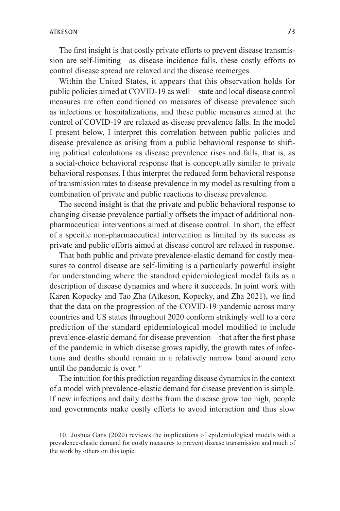The first insight is that costly private efforts to prevent disease transmission are self-limiting—as disease incidence falls, these costly efforts to control disease spread are relaxed and the disease reemerges.

Within the United States, it appears that this observation holds for public policies aimed at COVID-19 as well—state and local disease control measures are often conditioned on measures of disease prevalence such as infections or hospitalizations, and these public measures aimed at the control of COVID-19 are relaxed as disease prevalence falls. In the model I present below, I interpret this correlation between public policies and disease prevalence as arising from a public behavioral response to shifting political calculations as disease prevalence rises and falls, that is, as a social-choice behavioral response that is conceptually similar to private behavioral responses. I thus interpret the reduced form behavioral response of transmission rates to disease prevalence in my model as resulting from a combination of private and public reactions to disease prevalence.

The second insight is that the private and public behavioral response to changing disease prevalence partially offsets the impact of additional nonpharmaceutical interventions aimed at disease control. In short, the effect of a specific non-pharmaceutical intervention is limited by its success as private and public efforts aimed at disease control are relaxed in response.

That both public and private prevalence-elastic demand for costly measures to control disease are self-limiting is a particularly powerful insight for understanding where the standard epidemiological model fails as a description of disease dynamics and where it succeeds. In joint work with Karen Kopecky and Tao Zha (Atkeson, Kopecky, and Zha 2021), we find that the data on the progression of the COVID-19 pandemic across many countries and US states throughout 2020 conform strikingly well to a core prediction of the standard epidemiological model modified to include prevalence-elastic demand for disease prevention—that after the first phase of the pandemic in which disease grows rapidly, the growth rates of infections and deaths should remain in a relatively narrow band around zero until the pandemic is over.<sup>10</sup>

The intuition for this prediction regarding disease dynamics in the context of a model with prevalence-elastic demand for disease prevention is simple. If new infections and daily deaths from the disease grow too high, people and governments make costly efforts to avoid interaction and thus slow

<sup>10.</sup> Joshua Gans (2020) reviews the implications of epidemiological models with a prevalence-elastic demand for costly measures to prevent disease transmission and much of the work by others on this topic.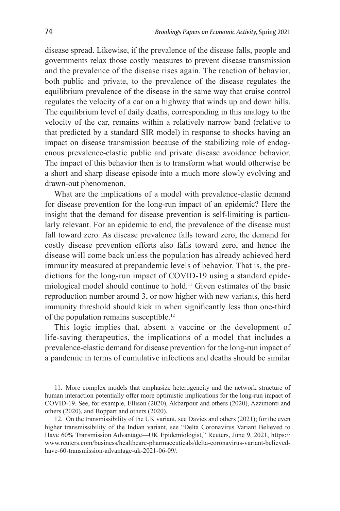disease spread. Likewise, if the prevalence of the disease falls, people and governments relax those costly measures to prevent disease transmission and the prevalence of the disease rises again. The reaction of behavior, both public and private, to the prevalence of the disease regulates the equilibrium prevalence of the disease in the same way that cruise control regulates the velocity of a car on a highway that winds up and down hills. The equilibrium level of daily deaths, corresponding in this analogy to the velocity of the car, remains within a relatively narrow band (relative to that predicted by a standard SIR model) in response to shocks having an impact on disease transmission because of the stabilizing role of endogenous prevalence-elastic public and private disease avoidance behavior. The impact of this behavior then is to transform what would otherwise be a short and sharp disease episode into a much more slowly evolving and drawn-out phenomenon.

What are the implications of a model with prevalence-elastic demand for disease prevention for the long-run impact of an epidemic? Here the insight that the demand for disease prevention is self-limiting is particularly relevant. For an epidemic to end, the prevalence of the disease must fall toward zero. As disease prevalence falls toward zero, the demand for costly disease prevention efforts also falls toward zero, and hence the disease will come back unless the population has already achieved herd immunity measured at prepandemic levels of behavior. That is, the predictions for the long-run impact of COVID-19 using a standard epidemiological model should continue to hold.11 Given estimates of the basic reproduction number around 3, or now higher with new variants, this herd immunity threshold should kick in when significantly less than one-third of the population remains susceptible.12

This logic implies that, absent a vaccine or the development of life-saving therapeutics, the implications of a model that includes a prevalence-elastic demand for disease prevention for the long-run impact of a pandemic in terms of cumulative infections and deaths should be similar

<sup>11.</sup> More complex models that emphasize heterogeneity and the network structure of human interaction potentially offer more optimistic implications for the long-run impact of COVID-19. See, for example, Ellison (2020), Akbarpour and others (2020), Azzimonti and others (2020), and Boppart and others (2020).

<sup>12.</sup> On the transmissibility of the UK variant, see Davies and others (2021); for the even higher transmissibility of the Indian variant, see "Delta Coronavirus Variant Believed to Have 60% Transmission Advantage—UK Epidemiologist," Reuters, June 9, 2021, https:// www.reuters.com/business/healthcare-pharmaceuticals/delta-coronavirus-variant-believedhave-60-transmission-advantage-uk-2021-06-09/.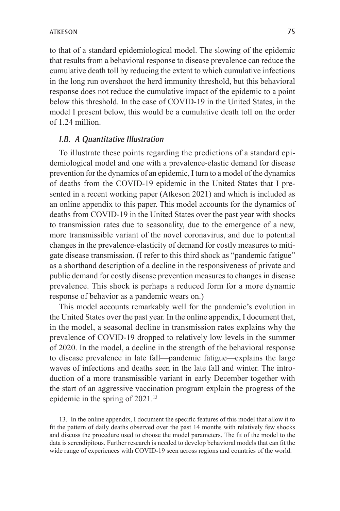to that of a standard epidemiological model. The slowing of the epidemic that results from a behavioral response to disease prevalence can reduce the cumulative death toll by reducing the extent to which cumulative infections in the long run overshoot the herd immunity threshold, but this behavioral response does not reduce the cumulative impact of the epidemic to a point below this threshold. In the case of COVID-19 in the United States, in the model I present below, this would be a cumulative death toll on the order of 1.24 million.

#### *I.B. A Quantitative Illustration*

To illustrate these points regarding the predictions of a standard epidemiological model and one with a prevalence-elastic demand for disease prevention for the dynamics of an epidemic, I turn to a model of the dynamics of deaths from the COVID-19 epidemic in the United States that I presented in a recent working paper (Atkeson 2021) and which is included as an online appendix to this paper. This model accounts for the dynamics of deaths from COVID-19 in the United States over the past year with shocks to transmission rates due to seasonality, due to the emergence of a new, more transmissible variant of the novel coronavirus, and due to potential changes in the prevalence-elasticity of demand for costly measures to mitigate disease transmission. (I refer to this third shock as "pandemic fatigue" as a shorthand description of a decline in the responsiveness of private and public demand for costly disease prevention measures to changes in disease prevalence. This shock is perhaps a reduced form for a more dynamic response of behavior as a pandemic wears on.)

This model accounts remarkably well for the pandemic's evolution in the United States over the past year. In the online appendix, I document that, in the model, a seasonal decline in transmission rates explains why the prevalence of COVID-19 dropped to relatively low levels in the summer of 2020. In the model, a decline in the strength of the behavioral response to disease prevalence in late fall—pandemic fatigue—explains the large waves of infections and deaths seen in the late fall and winter. The introduction of a more transmissible variant in early December together with the start of an aggressive vaccination program explain the progress of the epidemic in the spring of 2021.13

13. In the online appendix, I document the specific features of this model that allow it to fit the pattern of daily deaths observed over the past 14 months with relatively few shocks and discuss the procedure used to choose the model parameters. The fit of the model to the data is serendipitous. Further research is needed to develop behavioral models that can fit the wide range of experiences with COVID-19 seen across regions and countries of the world.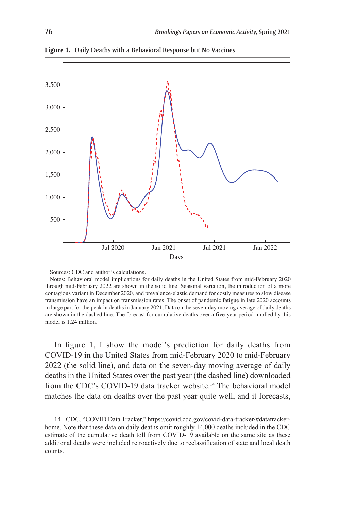

**Figure 1.** Daily Deaths with a Behavioral Response but No Vaccines

Sources: CDC and author's calculations.

Notes: Behavioral model implications for daily deaths in the United States from mid-February 2020 through mid-February 2022 are shown in the solid line. Seasonal variation, the introduction of a more contagious variant in December 2020, and prevalence-elastic demand for costly measures to slow disease transmission have an impact on transmission rates. The onset of pandemic fatigue in late 2020 accounts in large part for the peak in deaths in January 2021. Data on the seven-day moving average of daily deaths are shown in the dashed line. The forecast for cumulative deaths over a five-year period implied by this model is 1.24 million.

In figure 1, I show the model's prediction for daily deaths from COVID-19 in the United States from mid-February 2020 to mid-February 2022 (the solid line), and data on the seven-day moving average of daily deaths in the United States over the past year (the dashed line) downloaded from the CDC's COVID-19 data tracker website.<sup>14</sup> The behavioral model matches the data on deaths over the past year quite well, and it forecasts,

14. CDC, "COVID Data Tracker," https://covid.cdc.gov/covid-data-tracker/#datatrackerhome. Note that these data on daily deaths omit roughly 14,000 deaths included in the CDC estimate of the cumulative death toll from COVID-19 available on the same site as these additional deaths were included retroactively due to reclassification of state and local death counts.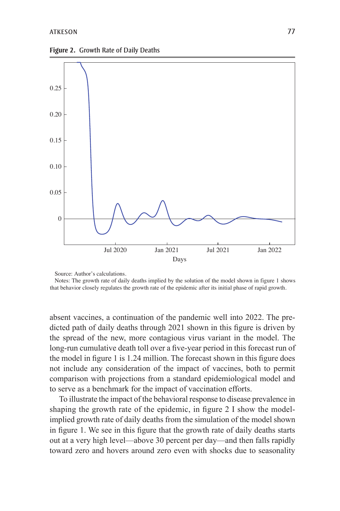**Figure 2.** Growth Rate of Daily Deaths



Source: Author's calculations.

Notes: The growth rate of daily deaths implied by the solution of the model shown in figure 1 shows that behavior closely regulates the growth rate of the epidemic after its initial phase of rapid growth.

absent vaccines, a continuation of the pandemic well into 2022. The predicted path of daily deaths through 2021 shown in this figure is driven by the spread of the new, more contagious virus variant in the model. The long-run cumulative death toll over a five-year period in this forecast run of the model in figure 1 is 1.24 million. The forecast shown in this figure does not include any consideration of the impact of vaccines, both to permit comparison with projections from a standard epidemiological model and to serve as a benchmark for the impact of vaccination efforts.

To illustrate the impact of the behavioral response to disease prevalence in shaping the growth rate of the epidemic, in figure 2 I show the modelimplied growth rate of daily deaths from the simulation of the model shown in figure 1. We see in this figure that the growth rate of daily deaths starts out at a very high level—above 30 percent per day—and then falls rapidly toward zero and hovers around zero even with shocks due to seasonality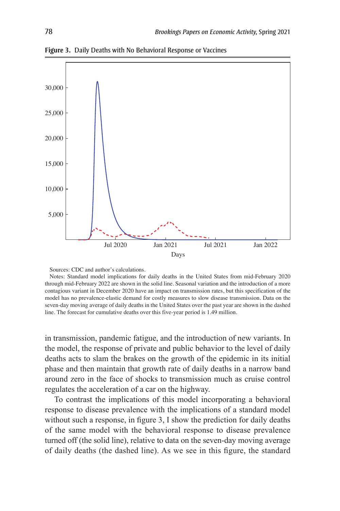

**Figure 3.** Daily Deaths with No Behavioral Response or Vaccines

Sources: CDC and author's calculations.

Notes: Standard model implications for daily deaths in the United States from mid-February 2020 through mid-February 2022 are shown in the solid line. Seasonal variation and the introduction of a more contagious variant in December 2020 have an impact on transmission rates, but this specification of the model has no prevalence-elastic demand for costly measures to slow disease transmission. Data on the seven-day moving average of daily deaths in the United States over the past year are shown in the dashed line. The forecast for cumulative deaths over this five-year period is 1.49 million.

in transmission, pandemic fatigue, and the introduction of new variants. In the model, the response of private and public behavior to the level of daily deaths acts to slam the brakes on the growth of the epidemic in its initial phase and then maintain that growth rate of daily deaths in a narrow band around zero in the face of shocks to transmission much as cruise control regulates the acceleration of a car on the highway.

To contrast the implications of this model incorporating a behavioral response to disease prevalence with the implications of a standard model without such a response, in figure 3, I show the prediction for daily deaths of the same model with the behavioral response to disease prevalence turned off (the solid line), relative to data on the seven-day moving average of daily deaths (the dashed line). As we see in this figure, the standard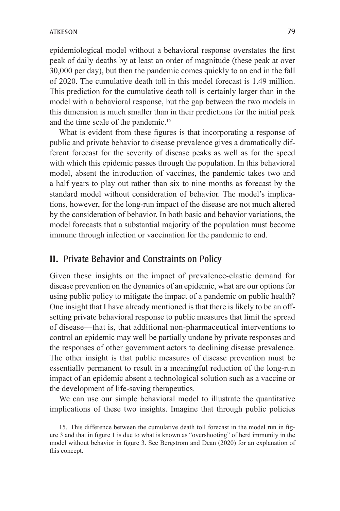epidemiological model without a behavioral response overstates the first peak of daily deaths by at least an order of magnitude (these peak at over 30,000 per day), but then the pandemic comes quickly to an end in the fall of 2020. The cumulative death toll in this model forecast is 1.49 million. This prediction for the cumulative death toll is certainly larger than in the model with a behavioral response, but the gap between the two models in this dimension is much smaller than in their predictions for the initial peak and the time scale of the pandemic.<sup>15</sup>

What is evident from these figures is that incorporating a response of public and private behavior to disease prevalence gives a dramatically different forecast for the severity of disease peaks as well as for the speed with which this epidemic passes through the population. In this behavioral model, absent the introduction of vaccines, the pandemic takes two and a half years to play out rather than six to nine months as forecast by the standard model without consideration of behavior. The model's implications, however, for the long-run impact of the disease are not much altered by the consideration of behavior. In both basic and behavior variations, the model forecasts that a substantial majority of the population must become immune through infection or vaccination for the pandemic to end.

## **II.** Private Behavior and Constraints on Policy

Given these insights on the impact of prevalence-elastic demand for disease prevention on the dynamics of an epidemic, what are our options for using public policy to mitigate the impact of a pandemic on public health? One insight that I have already mentioned is that there is likely to be an offsetting private behavioral response to public measures that limit the spread of disease—that is, that additional non-pharmaceutical interventions to control an epidemic may well be partially undone by private responses and the responses of other government actors to declining disease prevalence. The other insight is that public measures of disease prevention must be essentially permanent to result in a meaningful reduction of the long-run impact of an epidemic absent a technological solution such as a vaccine or the development of life-saving therapeutics.

We can use our simple behavioral model to illustrate the quantitative implications of these two insights. Imagine that through public policies

<sup>15.</sup> This difference between the cumulative death toll forecast in the model run in figure 3 and that in figure 1 is due to what is known as "overshooting" of herd immunity in the model without behavior in figure 3. See Bergstrom and Dean (2020) for an explanation of this concept.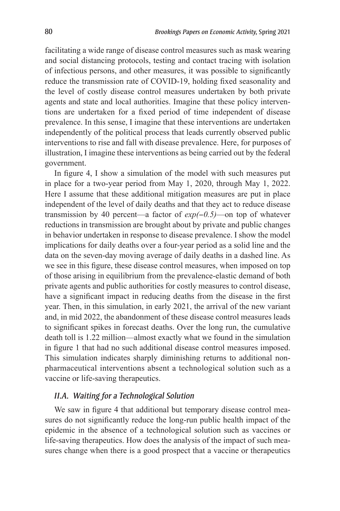facilitating a wide range of disease control measures such as mask wearing and social distancing protocols, testing and contact tracing with isolation of infectious persons, and other measures, it was possible to significantly reduce the transmission rate of COVID-19, holding fixed seasonality and the level of costly disease control measures undertaken by both private agents and state and local authorities. Imagine that these policy interventions are undertaken for a fixed period of time independent of disease prevalence. In this sense, I imagine that these interventions are undertaken independently of the political process that leads currently observed public interventions to rise and fall with disease prevalence. Here, for purposes of illustration, I imagine these interventions as being carried out by the federal government.

In figure 4, I show a simulation of the model with such measures put in place for a two-year period from May 1, 2020, through May 1, 2022. Here I assume that these additional mitigation measures are put in place independent of the level of daily deaths and that they act to reduce disease transmission by 40 percent—a factor of *exp(*−*0.5)*—on top of whatever reductions in transmission are brought about by private and public changes in behavior undertaken in response to disease prevalence. I show the model implications for daily deaths over a four-year period as a solid line and the data on the seven-day moving average of daily deaths in a dashed line. As we see in this figure, these disease control measures, when imposed on top of those arising in equilibrium from the prevalence-elastic demand of both private agents and public authorities for costly measures to control disease, have a significant impact in reducing deaths from the disease in the first year. Then, in this simulation, in early 2021, the arrival of the new variant and, in mid 2022, the abandonment of these disease control measures leads to significant spikes in forecast deaths. Over the long run, the cumulative death toll is 1.22 million—almost exactly what we found in the simulation in figure 1 that had no such additional disease control measures imposed. This simulation indicates sharply diminishing returns to additional nonpharmaceutical interventions absent a technological solution such as a vaccine or life-saving therapeutics.

#### *II.A. Waiting for a Technological Solution*

We saw in figure 4 that additional but temporary disease control measures do not significantly reduce the long-run public health impact of the epidemic in the absence of a technological solution such as vaccines or life-saving therapeutics. How does the analysis of the impact of such measures change when there is a good prospect that a vaccine or therapeutics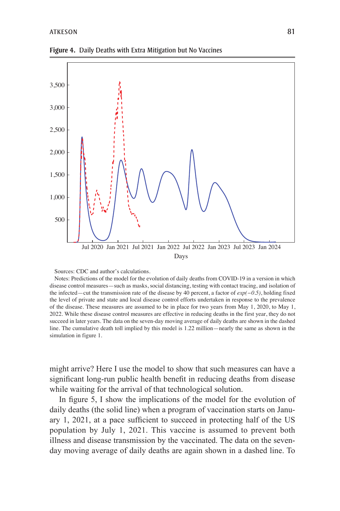

**Figure 4.** Daily Deaths with Extra Mitigation but No Vaccines

Sources: CDC and author's calculations.

Notes: Predictions of the model for the evolution of daily deaths from COVID-19 in a version in which disease control measures—such as masks, social distancing, testing with contact tracing, and isolation of the infected—cut the transmission rate of the disease by 40 percent, a factor of *exp(−0.5)*, holding fixed the level of private and state and local disease control efforts undertaken in response to the prevalence of the disease. These measures are assumed to be in place for two years from May 1, 2020, to May 1, 2022. While these disease control measures are effective in reducing deaths in the first year, they do not succeed in later years. The data on the seven-day moving average of daily deaths are shown in the dashed line. The cumulative death toll implied by this model is 1.22 million—nearly the same as shown in the simulation in figure 1.

might arrive? Here I use the model to show that such measures can have a significant long-run public health benefit in reducing deaths from disease while waiting for the arrival of that technological solution.

In figure 5, I show the implications of the model for the evolution of daily deaths (the solid line) when a program of vaccination starts on January 1, 2021, at a pace sufficient to succeed in protecting half of the US population by July 1, 2021. This vaccine is assumed to prevent both illness and disease transmission by the vaccinated. The data on the sevenday moving average of daily deaths are again shown in a dashed line. To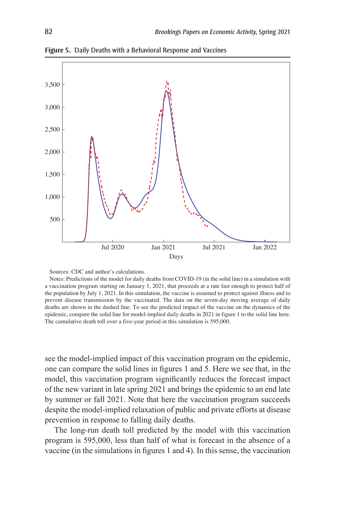

**Figure 5.** Daily Deaths with a Behavioral Response and Vaccines

Sources: CDC and author's calculations.

Notes: Predictions of the model for daily deaths from COVID-19 (in the solid line) in a simulation with a vaccination program starting on January 1, 2021, that proceeds at a rate fast enough to protect half of the population by July 1, 2021. In this simulation, the vaccine is assumed to protect against illness and to prevent disease transmission by the vaccinated. The data on the seven-day moving average of daily deaths are shown in the dashed line. To see the predicted impact of the vaccine on the dynamics of the epidemic, compare the solid line for model-implied daily deaths in 2021 in figure 1 to the solid line here. The cumulative death toll over a five-year period in this simulation is 595,000.

see the model-implied impact of this vaccination program on the epidemic, one can compare the solid lines in figures 1 and 5. Here we see that, in the model, this vaccination program significantly reduces the forecast impact of the new variant in late spring 2021 and brings the epidemic to an end late by summer or fall 2021. Note that here the vaccination program succeeds despite the model-implied relaxation of public and private efforts at disease prevention in response to falling daily deaths.

The long-run death toll predicted by the model with this vaccination program is 595,000, less than half of what is forecast in the absence of a vaccine (in the simulations in figures 1 and 4). In this sense, the vaccination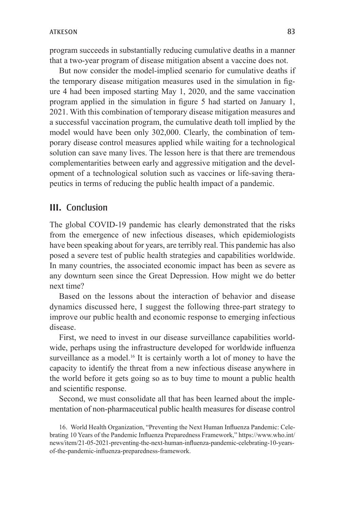program succeeds in substantially reducing cumulative deaths in a manner that a two-year program of disease mitigation absent a vaccine does not.

But now consider the model-implied scenario for cumulative deaths if the temporary disease mitigation measures used in the simulation in figure 4 had been imposed starting May 1, 2020, and the same vaccination program applied in the simulation in figure 5 had started on January 1, 2021. With this combination of temporary disease mitigation measures and a successful vaccination program, the cumulative death toll implied by the model would have been only 302,000. Clearly, the combination of temporary disease control measures applied while waiting for a technological solution can save many lives. The lesson here is that there are tremendous complementarities between early and aggressive mitigation and the development of a technological solution such as vaccines or life-saving therapeutics in terms of reducing the public health impact of a pandemic.

### **III.** Conclusion

The global COVID-19 pandemic has clearly demonstrated that the risks from the emergence of new infectious diseases, which epidemiologists have been speaking about for years, are terribly real. This pandemic has also posed a severe test of public health strategies and capabilities worldwide. In many countries, the associated economic impact has been as severe as any downturn seen since the Great Depression. How might we do better next time?

Based on the lessons about the interaction of behavior and disease dynamics discussed here, I suggest the following three-part strategy to improve our public health and economic response to emerging infectious disease.

First, we need to invest in our disease surveillance capabilities worldwide, perhaps using the infrastructure developed for worldwide influenza surveillance as a model.<sup>16</sup> It is certainly worth a lot of money to have the capacity to identify the threat from a new infectious disease anywhere in the world before it gets going so as to buy time to mount a public health and scientific response.

Second, we must consolidate all that has been learned about the implementation of non-pharmaceutical public health measures for disease control

16. World Health Organization, "Preventing the Next Human Influenza Pandemic: Celebrating 10 Years of the Pandemic Influenza Preparedness Framework," https://www.who.int/ news/item/21-05-2021-preventing-the-next-human-influenza-pandemic-celebrating-10-yearsof-the-pandemic-influenza-preparedness-framework.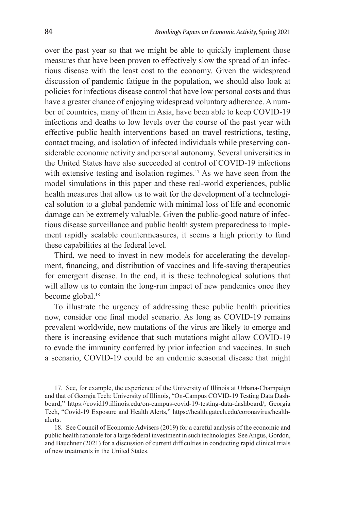over the past year so that we might be able to quickly implement those measures that have been proven to effectively slow the spread of an infectious disease with the least cost to the economy. Given the widespread discussion of pandemic fatigue in the population, we should also look at policies for infectious disease control that have low personal costs and thus have a greater chance of enjoying widespread voluntary adherence. A number of countries, many of them in Asia, have been able to keep COVID-19 infections and deaths to low levels over the course of the past year with effective public health interventions based on travel restrictions, testing, contact tracing, and isolation of infected individuals while preserving considerable economic activity and personal autonomy. Several universities in the United States have also succeeded at control of COVID-19 infections with extensive testing and isolation regimes.<sup>17</sup> As we have seen from the model simulations in this paper and these real-world experiences, public health measures that allow us to wait for the development of a technological solution to a global pandemic with minimal loss of life and economic damage can be extremely valuable. Given the public-good nature of infectious disease surveillance and public health system preparedness to implement rapidly scalable countermeasures, it seems a high priority to fund these capabilities at the federal level.

Third, we need to invest in new models for accelerating the development, financing, and distribution of vaccines and life-saving therapeutics for emergent disease. In the end, it is these technological solutions that will allow us to contain the long-run impact of new pandemics once they become global.<sup>18</sup>

To illustrate the urgency of addressing these public health priorities now, consider one final model scenario. As long as COVID-19 remains prevalent worldwide, new mutations of the virus are likely to emerge and there is increasing evidence that such mutations might allow COVID-19 to evade the immunity conferred by prior infection and vaccines. In such a scenario, COVID-19 could be an endemic seasonal disease that might

17. See, for example, the experience of the University of Illinois at Urbana-Champaign and that of Georgia Tech: University of Illinois, "On-Campus COVID-19 Testing Data Dashboard," https://covid19.illinois.edu/on-campus-covid-19-testing-data-dashboard/; Georgia Tech, "Covid-19 Exposure and Health Alerts," https://health.gatech.edu/coronavirus/healthalerts.

18. See Council of Economic Advisers (2019) for a careful analysis of the economic and public health rationale for a large federal investment in such technologies. See Angus, Gordon, and Bauchner (2021) for a discussion of current difficulties in conducting rapid clinical trials of new treatments in the United States.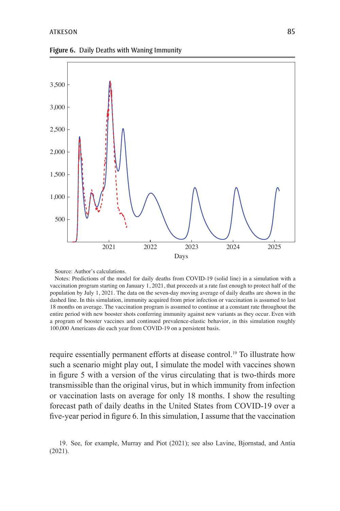



Source: Author's calculations.

Notes: Predictions of the model for daily deaths from COVID-19 (solid line) in a simulation with a vaccination program starting on January 1, 2021, that proceeds at a rate fast enough to protect half of the population by July 1, 2021. The data on the seven-day moving average of daily deaths are shown in the dashed line. In this simulation, immunity acquired from prior infection or vaccination is assumed to last 18 months on average. The vaccination program is assumed to continue at a constant rate throughout the entire period with new booster shots conferring immunity against new variants as they occur. Even with a program of booster vaccines and continued prevalence-elastic behavior, in this simulation roughly 100,000 Americans die each year from COVID-19 on a persistent basis.

require essentially permanent efforts at disease control.19 To illustrate how such a scenario might play out, I simulate the model with vaccines shown in figure 5 with a version of the virus circulating that is two-thirds more transmissible than the original virus, but in which immunity from infection or vaccination lasts on average for only 18 months. I show the resulting forecast path of daily deaths in the United States from COVID-19 over a five-year period in figure 6. In this simulation, I assume that the vaccination

<sup>19.</sup> See, for example, Murray and Piot (2021); see also Lavine, Bjornstad, and Antia (2021).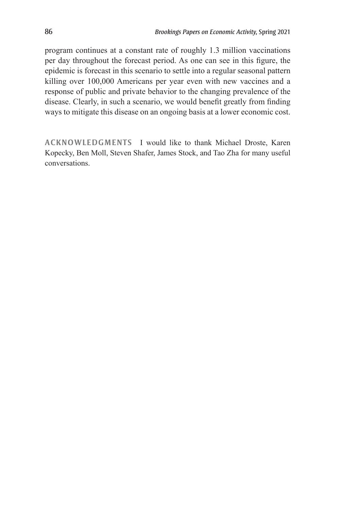program continues at a constant rate of roughly 1.3 million vaccinations per day throughout the forecast period. As one can see in this figure, the epidemic is forecast in this scenario to settle into a regular seasonal pattern killing over 100,000 Americans per year even with new vaccines and a response of public and private behavior to the changing prevalence of the disease. Clearly, in such a scenario, we would benefit greatly from finding ways to mitigate this disease on an ongoing basis at a lower economic cost.

**ACKNOWLEDGMENTS** I would like to thank Michael Droste, Karen Kopecky, Ben Moll, Steven Shafer, James Stock, and Tao Zha for many useful conversations.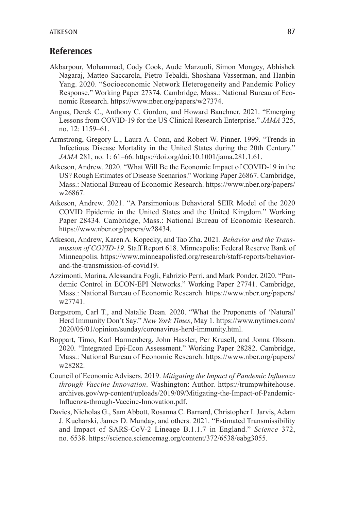## **References**

- Akbarpour, Mohammad, Cody Cook, Aude Marzuoli, Simon Mongey, Abhishek Nagaraj, Matteo Saccarola, Pietro Tebaldi, Shoshana Vasserman, and Hanbin Yang. 2020. "Socioeconomic Network Heterogeneity and Pandemic Policy Response." Working Paper 27374. Cambridge, Mass.: National Bureau of Economic Research. https://www.nber.org/papers/w27374.
- Angus, Derek C., Anthony C. Gordon, and Howard Bauchner. 2021. "Emerging Lessons from COVID-19 for the US Clinical Research Enterprise." *JAMA* 325, no. 12: 1159–61.
- Armstrong, Gregory L., Laura A. Conn, and Robert W. Pinner. 1999. "Trends in Infectious Disease Mortality in the United States during the 20th Century." *JAMA* 281, no. 1: 61–66. https://doi.org/doi:10.1001/jama.281.1.61.
- Atkeson, Andrew. 2020. "What Will Be the Economic Impact of COVID-19 in the US? Rough Estimates of Disease Scenarios." Working Paper 26867. Cambridge, Mass.: National Bureau of Economic Research. https://www.nber.org/papers/ w26867.
- Atkeson, Andrew. 2021. "A Parsimonious Behavioral SEIR Model of the 2020 COVID Epidemic in the United States and the United Kingdom." Working Paper 28434. Cambridge, Mass.: National Bureau of Economic Research. https://www.nber.org/papers/w28434.
- Atkeson, Andrew, Karen A. Kopecky, and Tao Zha. 2021. *Behavior and the Transmission of COVID-19*. Staff Report 618. Minneapolis: Federal Reserve Bank of Minneapolis. https://www.minneapolisfed.org/research/staff-reports/behaviorand-the-transmission-of-covid19.
- Azzimonti, Marina, Alessandra Fogli, Fabrizio Perri, and Mark Ponder. 2020. "Pandemic Control in ECON-EPI Networks." Working Paper 27741. Cambridge, Mass.: National Bureau of Economic Research. https://www.nber.org/papers/ w27741.
- Bergstrom, Carl T., and Natalie Dean. 2020. "What the Proponents of 'Natural' Herd Immunity Don't Say." *New York Times*, May 1. https://www.nytimes.com/ 2020/05/01/opinion/sunday/coronavirus-herd-immunity.html.
- Boppart, Timo, Karl Harmenberg, John Hassler, Per Krusell, and Jonna Olsson. 2020. "Integrated Epi-Econ Assessment." Working Paper 28282. Cambridge, Mass.: National Bureau of Economic Research. https://www.nber.org/papers/ w28282.
- Council of Economic Advisers. 2019. *Mitigating the Impact of Pandemic Influenza through Vaccine Innovation*. Washington: Author. https://trumpwhitehouse. archives.gov/wp-content/uploads/2019/09/Mitigating-the-Impact-of-Pandemic-Influenza-through-Vaccine-Innovation.pdf.
- Davies, Nicholas G., Sam Abbott, Rosanna C. Barnard, Christopher I. Jarvis, Adam J. Kucharski, James D. Munday, and others. 2021. "Estimated Transmissibility and Impact of SARS-CoV-2 Lineage B.1.1.7 in England." *Science* 372, no. 6538. https://science.sciencemag.org/content/372/6538/eabg3055.